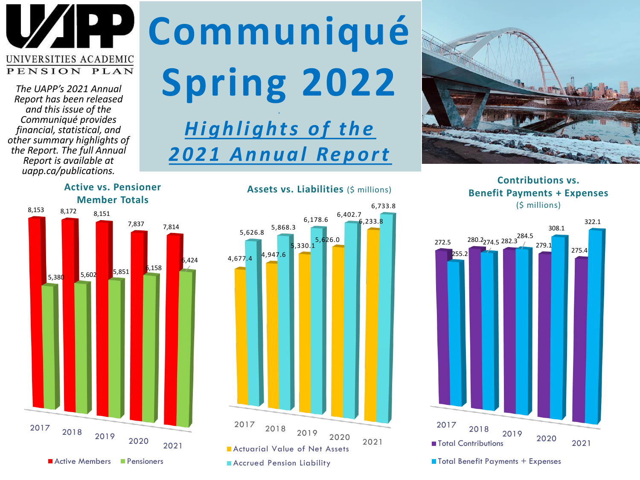

*The UAPP's 2021 Annual Report has been released and this issue of the Communiqué provides financial, statistical, and other summary highlights of the Report. The full Annual Report is available at uapp.ca/publications.*

### **Communiqué Spring 2022 .**

### **Highlights of the** *2 0 2 1 A n n u a l Re p o r t*



**Contributions vs. Benefit Payments + Expenses**  (\$ millions)





### **Active vs. Pensioner Member Totals**



### **Assets vs. Liabilities** (\$ millions)

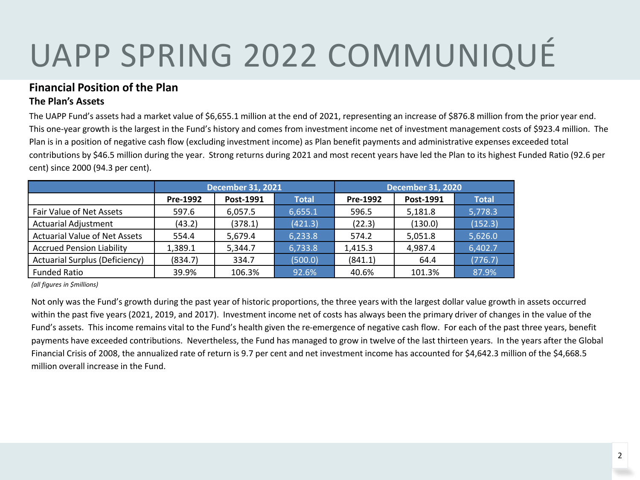### **Financial Position of the Plan The Plan's Assets**

The UAPP Fund's assets had a market value of \$6,655.1 million at the end of 2021, representing an increase of \$876.8 million from the prior year end. This one-year growth is the largest in the Fund's history and comes from investment income net of investment management costs of \$923.4 million. The Plan is in a position of negative cash flow (excluding investment income) as Plan benefit payments and administrative expenses exceeded total contributions by \$46.5 million during the year. Strong returns during 2021 and most recent years have led the Plan to its highest Funded Ratio (92.6 per cent) since 2000 (94.3 per cent).

|                                       | <b>December 31, 2021</b> |           |              | <b>December 31, 2020</b> |           |              |
|---------------------------------------|--------------------------|-----------|--------------|--------------------------|-----------|--------------|
|                                       | Pre-1992                 | Post-1991 | <b>Total</b> | Pre-1992                 | Post-1991 | <b>Total</b> |
| Fair Value of Net Assets              | 597.6                    | 6.057.5   | 6.655.1      | 596.5                    | 5,181.8   | 5,778.3      |
| <b>Actuarial Adjustment</b>           | (43.2)                   | (378.1)   | (421.3)      | (22.3)                   | (130.0)   | (152.3)      |
| <b>Actuarial Value of Net Assets</b>  | 554.4                    | 5,679.4   | 6,233.8      | 574.2                    | 5,051.8   | 5,626.0      |
| <b>Accrued Pension Liability</b>      | 1,389.1                  | 5,344.7   | 6,733.8      | 1,415.3                  | 4,987.4   | 6,402.7      |
| <b>Actuarial Surplus (Deficiency)</b> | (834.7)                  | 334.7     | (500.0)      | (841.1)                  | 64.4      | (776.7)      |
| <b>Funded Ratio</b>                   | 39.9%                    | 106.3%    | 92.6%        | 40.6%                    | 101.3%    | 87.9%        |

*(all figures in \$millions)*

Not only was the Fund's growth during the past year of historic proportions, the three years with the largest dollar value growth in assets occurred within the past five years (2021, 2019, and 2017). Investment income net of costs has always been the primary driver of changes in the value of the Fund's assets. This income remains vital to the Fund's health given the re-emergence of negative cash flow. For each of the past three years, benefit payments have exceeded contributions. Nevertheless, the Fund has managed to grow in twelve of the last thirteen years. In the years after the Global Financial Crisis of 2008, the annualized rate of return is 9.7 per cent and net investment income has accounted for \$4,642.3 million of the \$4,668.5 million overall increase in the Fund.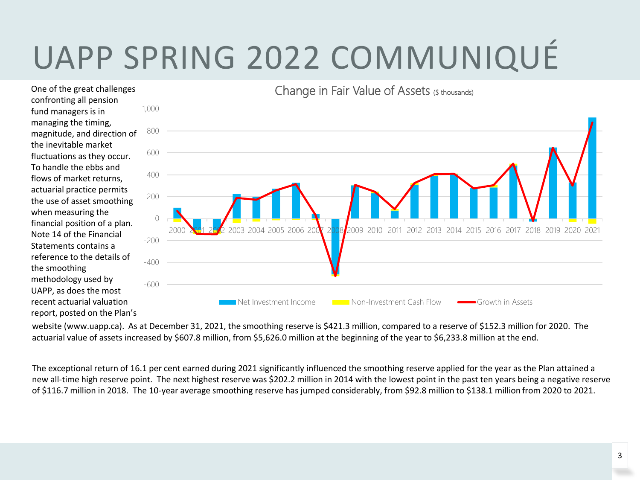confronting all pension fund managers is in managing the timing, magnitude, and direction of the inevitable market fluctuations as they occur. To handle the ebbs and flows of market returns, actuarial practice permits the use of asset smoothing when measuring the financial position of a plan. Note 14 of the Financial Statements contains a reference to the details of the smoothing methodology used by UAPP, as does the most recent actuarial valuation report, posted on the Plan's

One of the great challenges



website (www.uapp.ca). As at December 31, 2021, the smoothing reserve is \$421.3 million, compared to a reserve of \$152.3 million for 2020. The actuarial value of assets increased by \$607.8 million, from \$5,626.0 million at the beginning of the year to \$6,233.8 million at the end.

The exceptional return of 16.1 per cent earned during 2021 significantly influenced the smoothing reserve applied for the year as the Plan attained a new all-time high reserve point. The next highest reserve was \$202.2 million in 2014 with the lowest point in the past ten years being a negative reserve of \$116.7 million in 2018. The 10-year average smoothing reserve has jumped considerably, from \$92.8 million to \$138.1 million from 2020 to 2021.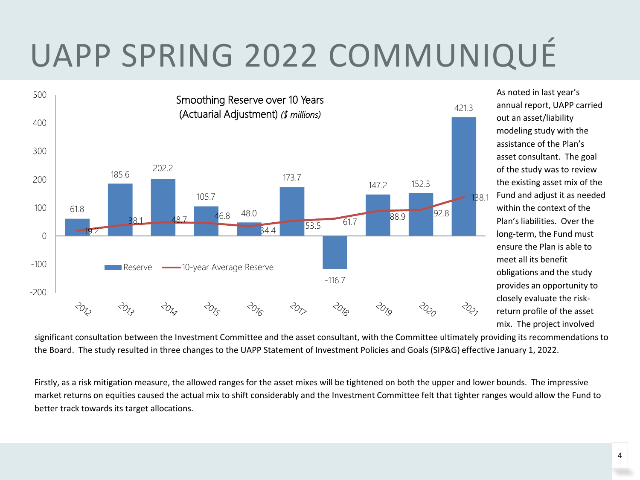

As noted in last year's annual report, UAPP carried out an asset/liability modeling study with the assistance of the Plan's asset consultant. The goal of the study was to review the existing asset mix of the Fund and adjust it as needed within the context of the Plan's liabilities. Over the long-term, the Fund must ensure the Plan is able to meet all its benefit obligations and the study provides an opportunity to closely evaluate the riskreturn profile of the asset mix. The project involved

significant consultation between the Investment Committee and the asset consultant, with the Committee ultimately providing its recommendations to the Board. The study resulted in three changes to the UAPP Statement of Investment Policies and Goals (SIP&G) effective January 1, 2022.

Firstly, as a risk mitigation measure, the allowed ranges for the asset mixes will be tightened on both the upper and lower bounds. The impressive market returns on equities caused the actual mix to shift considerably and the Investment Committee felt that tighter ranges would allow the Fund to better track towards its target allocations.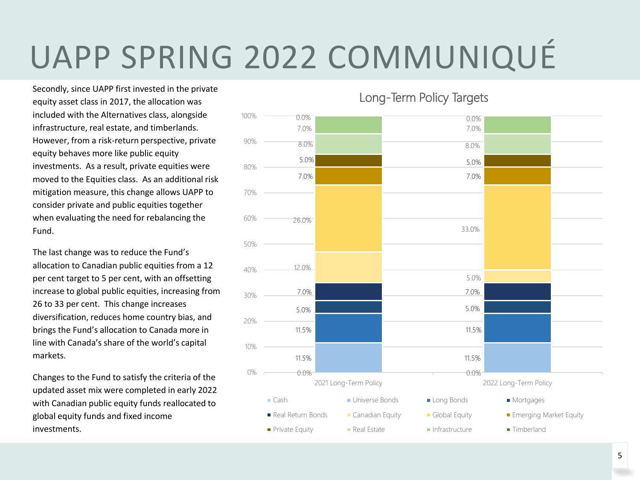Secondly, since UAPP first invested in the private equity asset class in 2017, the allocation was included with the Alternatives class, alongside infrastructure, real estate, and timberlands. However, from a risk-return perspective, private equity behaves more like public equity investments. As a result, private equities were moved to the Equities class. As an additional risk mitigation measure, this change allows UAPP to consider private and public equities together when evaluating the need for rebalancing the Fund.

The last change was to reduce the Fund's allocation to Canadian public equities from a 12 per cent target to 5 per cent, with an offsetting increase to global public equities, increasing from 26 to 33 per cent. This change increases diversification, reduces home country bias, and brings the Fund's allocation to Canada more in line with Canada's share of the world's capital markets.

Changes to the Fund to satisfy the criteria of the updated asset mix were completed in early 2022 with Canadian public equity funds reallocated to global equity funds and fixed income investments.

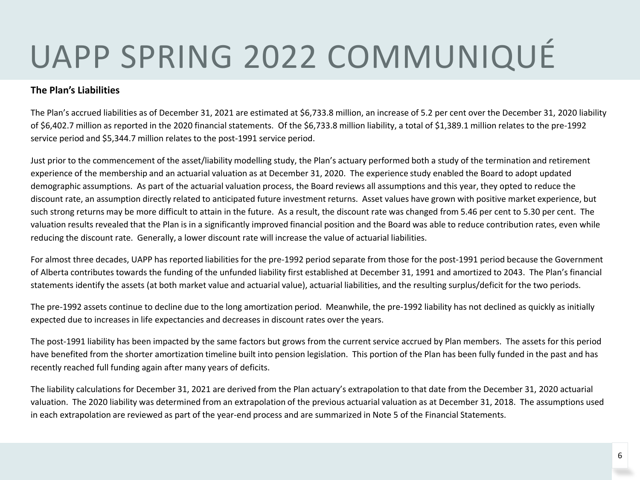### **The Plan's Liabilities**

The Plan's accrued liabilities as of December 31, 2021 are estimated at \$6,733.8 million, an increase of 5.2 per cent over the December 31, 2020 liability of \$6,402.7 million as reported in the 2020 financial statements. Of the \$6,733.8 million liability, a total of \$1,389.1 million relates to the pre-1992 service period and \$5,344.7 million relates to the post-1991 service period.

Just prior to the commencement of the asset/liability modelling study, the Plan's actuary performed both a study of the termination and retirement experience of the membership and an actuarial valuation as at December 31, 2020. The experience study enabled the Board to adopt updated demographic assumptions. As part of the actuarial valuation process, the Board reviews all assumptions and this year, they opted to reduce the discount rate, an assumption directly related to anticipated future investment returns. Asset values have grown with positive market experience, but such strong returns may be more difficult to attain in the future. As a result, the discount rate was changed from 5.46 per cent to 5.30 per cent. The valuation results revealed that the Plan is in a significantly improved financial position and the Board was able to reduce contribution rates, even while reducing the discount rate. Generally, a lower discount rate will increase the value of actuarial liabilities.

For almost three decades, UAPP has reported liabilities for the pre-1992 period separate from those for the post-1991 period because the Government of Alberta contributes towards the funding of the unfunded liability first established at December 31, 1991 and amortized to 2043. The Plan's financial statements identify the assets (at both market value and actuarial value), actuarial liabilities, and the resulting surplus/deficit for the two periods.

The pre-1992 assets continue to decline due to the long amortization period. Meanwhile, the pre-1992 liability has not declined as quickly as initially expected due to increases in life expectancies and decreases in discount rates over the years.

The post-1991 liability has been impacted by the same factors but grows from the current service accrued by Plan members. The assets for this period have benefited from the shorter amortization timeline built into pension legislation. This portion of the Plan has been fully funded in the past and has recently reached full funding again after many years of deficits.

The liability calculations for December 31, 2021 are derived from the Plan actuary's extrapolation to that date from the December 31, 2020 actuarial valuation. The 2020 liability was determined from an extrapolation of the previous actuarial valuation as at December 31, 2018. The assumptions used in each extrapolation are reviewed as part of the year-end process and are summarized in Note 5 of the Financial Statements.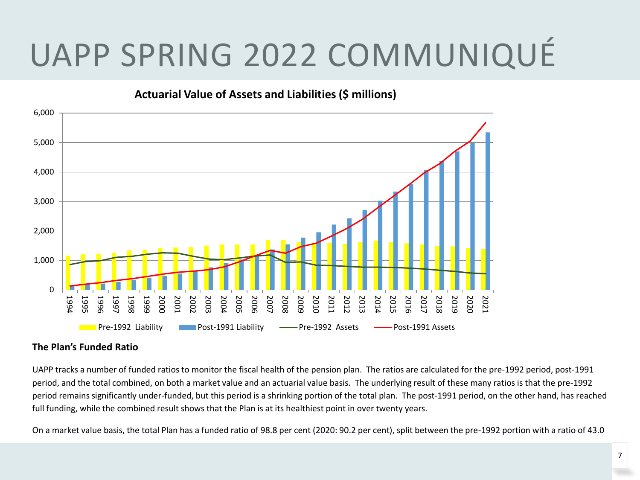

### **The Plan's Funded Ratio**

UAPP tracks a number of funded ratios to monitor the fiscal health of the pension plan. The ratios are calculated for the pre-1992 period, post-1991 period, and the total combined, on both a market value and an actuarial value basis. The underlying result of these many ratios is that the pre-1992 period remains significantly under-funded, but this period is a shrinking portion of the total plan. The post-1991 period, on the other hand, has reached full funding, while the combined result shows that the Plan is at its healthiest point in over twenty years.

On a market value basis, the total Plan has a funded ratio of 98.8 per cent (2020: 90.2 per cent), split between the pre-1992 portion with a ratio of 43.0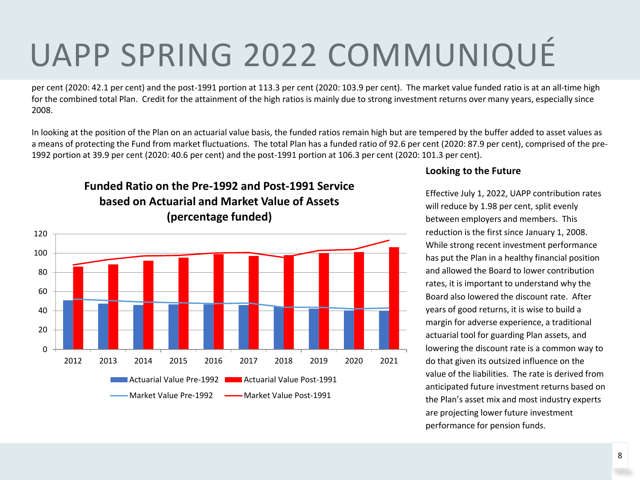per cent (2020: 42.1 per cent) and the post-1991 portion at 113.3 per cent (2020: 103.9 per cent). The market value funded ratio is at an all-time high for the combined total Plan. Credit for the attainment of the high ratios is mainly due to strong investment returns over many years, especially since 2008.

In looking at the position of the Plan on an actuarial value basis, the funded ratios remain high but are tempered by the buffer added to asset values as a means of protecting the Fund from market fluctuations. The total Plan has a funded ratio of 92.6 per cent (2020: 87.9 per cent), comprised of the pre-1992 portion at 39.9 per cent (2020: 40.6 per cent) and the post-1991 portion at 106.3 per cent (2020: 101.3 per cent).

**Funded Ratio on the Pre-1992 and Post-1991 Service based on Actuarial and Market Value of Assets (percentage funded)**



#### **Looking to the Future**

Effective July 1, 2022, UAPP contribution rates will reduce by 1.98 per cent, split evenly between employers and members. This reduction is the first since January 1, 2008. While strong recent investment performance has put the Plan in a healthy financial position and allowed the Board to lower contribution rates, it is important to understand why the Board also lowered the discount rate. After years of good returns, it is wise to build a margin for adverse experience, a traditional actuarial tool for guarding Plan assets, and lowering the discount rate is a common way to do that given its outsized influence on the value of the liabilities. The rate is derived from anticipated future investment returns based on the Plan's asset mix and most industry experts are projecting lower future investment performance for pension funds.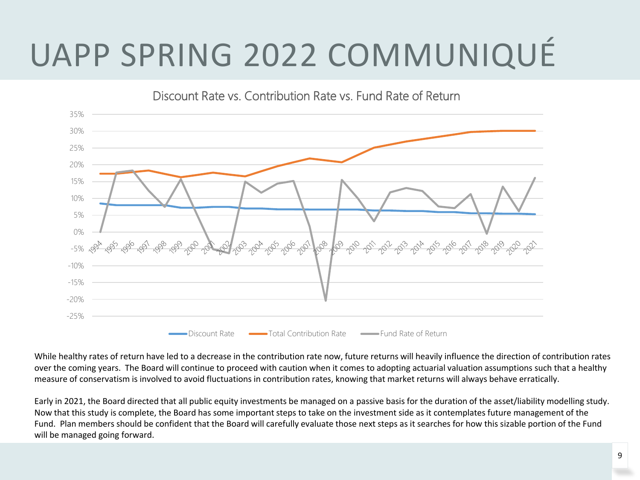

While healthy rates of return have led to a decrease in the contribution rate now, future returns will heavily influence the direction of contribution rates over the coming years. The Board will continue to proceed with caution when it comes to adopting actuarial valuation assumptions such that a healthy measure of conservatism is involved to avoid fluctuations in contribution rates, knowing that market returns will always behave erratically.

Early in 2021, the Board directed that all public equity investments be managed on a passive basis for the duration of the asset/liability modelling study. Now that this study is complete, the Board has some important steps to take on the investment side as it contemplates future management of the Fund. Plan members should be confident that the Board will carefully evaluate those next steps as it searches for how this sizable portion of the Fund will be managed going forward.